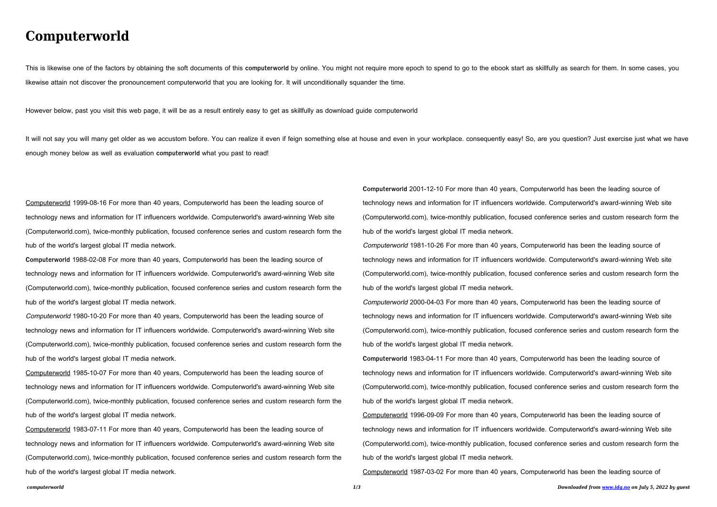## **Computerworld**

This is likewise one of the factors by obtaining the soft documents of this computerworld by online. You might not require more epoch to spend to go to the ebook start as skillfully as search for them. In some cases, you likewise attain not discover the pronouncement computerworld that you are looking for. It will unconditionally squander the time.

It will not say you will many get older as we accustom before. You can realize it even if feign something else at house and even in your workplace. consequently easy! So, are you question? Just exercise just what we have enough money below as well as evaluation **computerworld** what you past to read!

However below, past you visit this web page, it will be as a result entirely easy to get as skillfully as download guide computerworld

Computerworld 1999-08-16 For more than 40 years, Computerworld has been the leading source of technology news and information for IT influencers worldwide. Computerworld's award-winning Web site (Computerworld.com), twice-monthly publication, focused conference series and custom research form the hub of the world's largest global IT media network.

**Computerworld** 1988-02-08 For more than 40 years, Computerworld has been the leading source of technology news and information for IT influencers worldwide. Computerworld's award-winning Web site (Computerworld.com), twice-monthly publication, focused conference series and custom research form the hub of the world's largest global IT media network.

Computerworld 1980-10-20 For more than 40 years, Computerworld has been the leading source of technology news and information for IT influencers worldwide. Computerworld's award-winning Web site (Computerworld.com), twice-monthly publication, focused conference series and custom research form the hub of the world's largest global IT media network.

Computerworld 1985-10-07 For more than 40 years, Computerworld has been the leading source of technology news and information for IT influencers worldwide. Computerworld's award-winning Web site (Computerworld.com), twice-monthly publication, focused conference series and custom research form the hub of the world's largest global IT media network.

*computerworld 1/3 Downloaded from [www.idg.no](http://www.idg.no) on July 5, 2022 by guest* Computerworld 1987-03-02 For more than 40 years, Computerworld has been the leading source of

Computerworld 1983-07-11 For more than 40 years, Computerworld has been the leading source of technology news and information for IT influencers worldwide. Computerworld's award-winning Web site (Computerworld.com), twice-monthly publication, focused conference series and custom research form the hub of the world's largest global IT media network.

**Computerworld** 2001-12-10 For more than 40 years, Computerworld has been the leading source of technology news and information for IT influencers worldwide. Computerworld's award-winning Web site (Computerworld.com), twice-monthly publication, focused conference series and custom research form the hub of the world's largest global IT media network. Computerworld 1981-10-26 For more than 40 years, Computerworld has been the leading source of technology news and information for IT influencers worldwide. Computerworld's award-winning Web site (Computerworld.com), twice-monthly publication, focused conference series and custom research form the hub of the world's largest global IT media network. Computerworld 2000-04-03 For more than 40 years, Computerworld has been the leading source of technology news and information for IT influencers worldwide. Computerworld's award-winning Web site (Computerworld.com), twice-monthly publication, focused conference series and custom research form the hub of the world's largest global IT media network. **Computerworld** 1983-04-11 For more than 40 years, Computerworld has been the leading source of technology news and information for IT influencers worldwide. Computerworld's award-winning Web site (Computerworld.com), twice-monthly publication, focused conference series and custom research form the hub of the world's largest global IT media network. Computerworld 1996-09-09 For more than 40 years, Computerworld has been the leading source of technology news and information for IT influencers worldwide. Computerworld's award-winning Web site (Computerworld.com), twice-monthly publication, focused conference series and custom research form the hub of the world's largest global IT media network.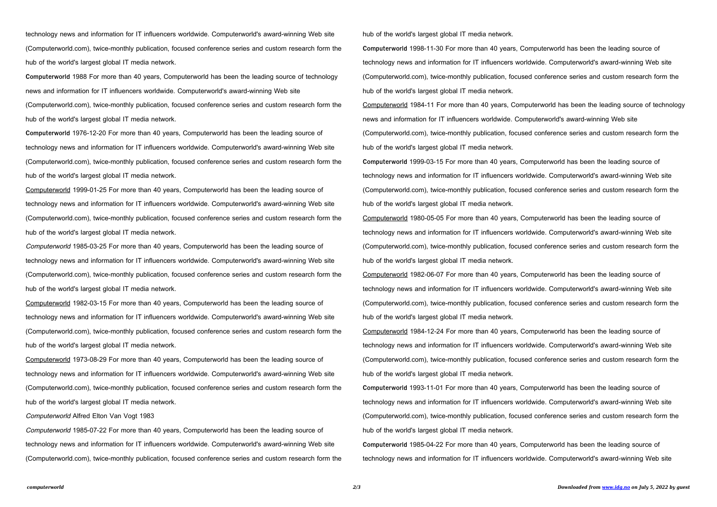technology news and information for IT influencers worldwide. Computerworld's award-winning Web site (Computerworld.com), twice-monthly publication, focused conference series and custom research form the hub of the world's largest global IT media network.

**Computerworld** 1988 For more than 40 years, Computerworld has been the leading source of technology news and information for IT influencers worldwide. Computerworld's award-winning Web site (Computerworld.com), twice-monthly publication, focused conference series and custom research form the hub of the world's largest global IT media network.

**Computerworld** 1976-12-20 For more than 40 years, Computerworld has been the leading source of technology news and information for IT influencers worldwide. Computerworld's award-winning Web site (Computerworld.com), twice-monthly publication, focused conference series and custom research form the hub of the world's largest global IT media network.

Computerworld 1999-01-25 For more than 40 years, Computerworld has been the leading source of technology news and information for IT influencers worldwide. Computerworld's award-winning Web site (Computerworld.com), twice-monthly publication, focused conference series and custom research form the hub of the world's largest global IT media network.

Computerworld 1985-03-25 For more than 40 years, Computerworld has been the leading source of technology news and information for IT influencers worldwide. Computerworld's award-winning Web site (Computerworld.com), twice-monthly publication, focused conference series and custom research form the hub of the world's largest global IT media network.

Computerworld 1982-03-15 For more than 40 years, Computerworld has been the leading source of technology news and information for IT influencers worldwide. Computerworld's award-winning Web site (Computerworld.com), twice-monthly publication, focused conference series and custom research form the hub of the world's largest global IT media network.

Computerworld 1973-08-29 For more than 40 years, Computerworld has been the leading source of technology news and information for IT influencers worldwide. Computerworld's award-winning Web site (Computerworld.com), twice-monthly publication, focused conference series and custom research form the hub of the world's largest global IT media network.

## Computerworld Alfred Elton Van Vogt 1983

Computerworld 1985-07-22 For more than 40 years, Computerworld has been the leading source of technology news and information for IT influencers worldwide. Computerworld's award-winning Web site (Computerworld.com), twice-monthly publication, focused conference series and custom research form the hub of the world's largest global IT media network.

**Computerworld** 1998-11-30 For more than 40 years, Computerworld has been the leading source of technology news and information for IT influencers worldwide. Computerworld's award-winning Web site (Computerworld.com), twice-monthly publication, focused conference series and custom research form the hub of the world's largest global IT media network.

Computerworld 1984-11 For more than 40 years, Computerworld has been the leading source of technology news and information for IT influencers worldwide. Computerworld's award-winning Web site (Computerworld.com), twice-monthly publication, focused conference series and custom research form the hub of the world's largest global IT media network.

**Computerworld** 1999-03-15 For more than 40 years, Computerworld has been the leading source of technology news and information for IT influencers worldwide. Computerworld's award-winning Web site (Computerworld.com), twice-monthly publication, focused conference series and custom research form the hub of the world's largest global IT media network.

Computerworld 1980-05-05 For more than 40 years, Computerworld has been the leading source of technology news and information for IT influencers worldwide. Computerworld's award-winning Web site (Computerworld.com), twice-monthly publication, focused conference series and custom research form the hub of the world's largest global IT media network.

Computerworld 1982-06-07 For more than 40 years, Computerworld has been the leading source of technology news and information for IT influencers worldwide. Computerworld's award-winning Web site (Computerworld.com), twice-monthly publication, focused conference series and custom research form the hub of the world's largest global IT media network.

Computerworld 1984-12-24 For more than 40 years, Computerworld has been the leading source of technology news and information for IT influencers worldwide. Computerworld's award-winning Web site (Computerworld.com), twice-monthly publication, focused conference series and custom research form the hub of the world's largest global IT media network.

**Computerworld** 1993-11-01 For more than 40 years, Computerworld has been the leading source of technology news and information for IT influencers worldwide. Computerworld's award-winning Web site (Computerworld.com), twice-monthly publication, focused conference series and custom research form the hub of the world's largest global IT media network.

**Computerworld** 1985-04-22 For more than 40 years, Computerworld has been the leading source of technology news and information for IT influencers worldwide. Computerworld's award-winning Web site